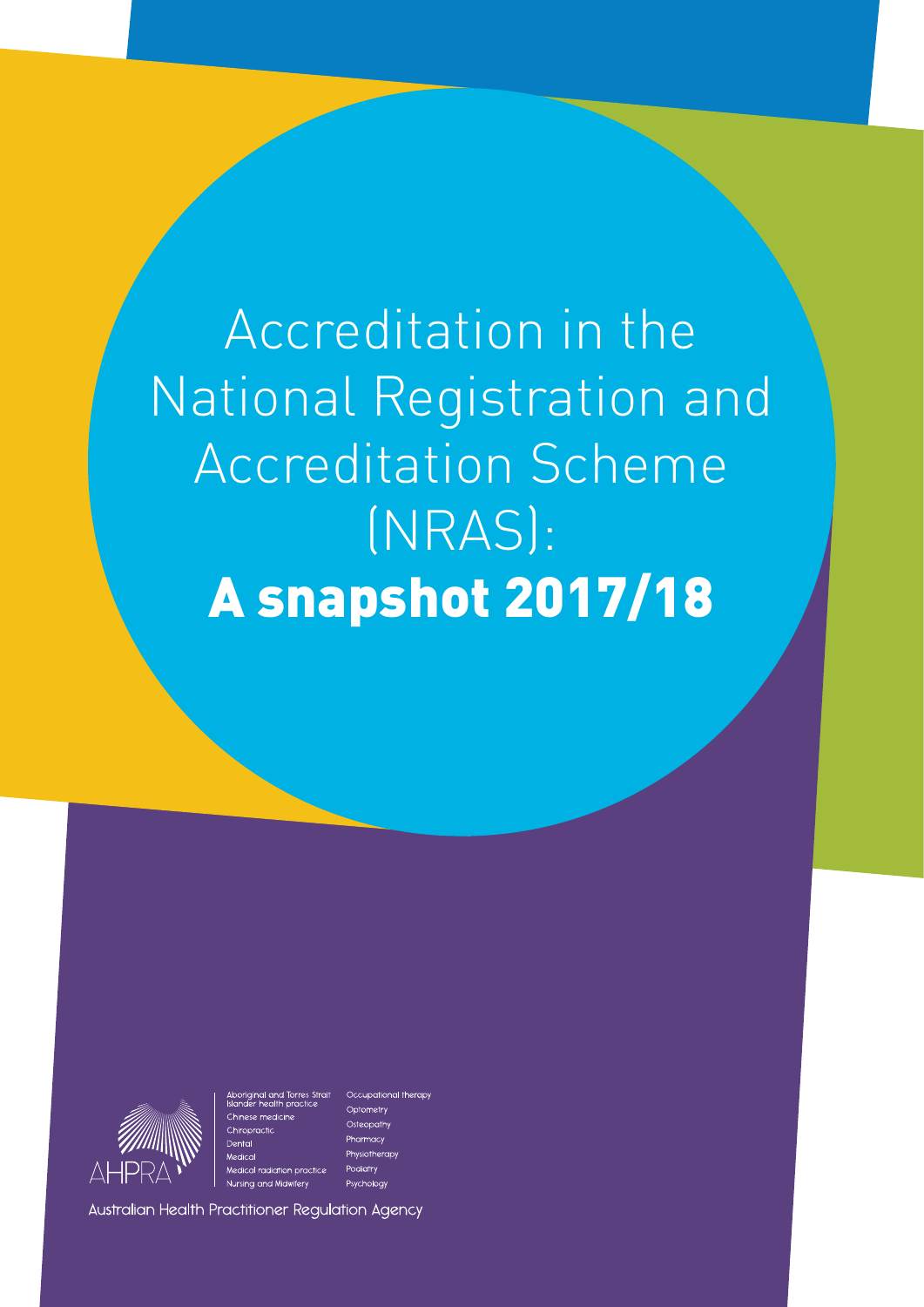Accreditation in the National Registration and Accreditation Scheme (NRAS): A snapshot 2017/18



Medical radiation pract Nursing and Midwifery

Occupational therapy Optometry Osteopathy Pharmacy Physiotherap Podiatry Psychology

Australian Health Practitioner Regulation Agency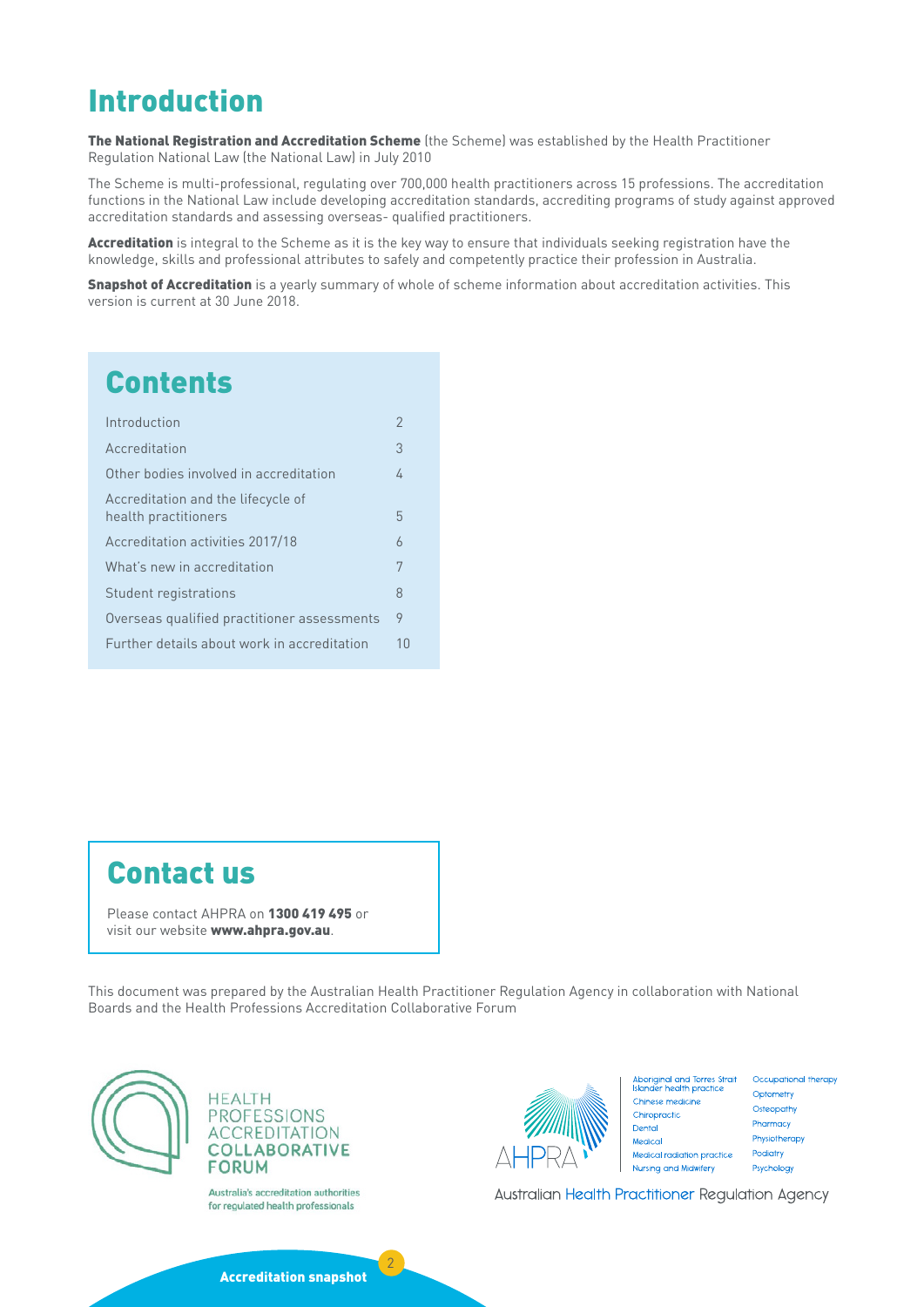# Introduction

The National Registration and Accreditation Scheme (the Scheme) was established by the Health Practitioner Regulation National Law (the National Law) in July 2010

The Scheme is multi-professional, regulating over 700,000 health practitioners across 15 professions. The accreditation functions in the National Law include developing accreditation standards, accrediting programs of study against approved accreditation standards and assessing overseas- qualified practitioners.

Accreditation is integral to the Scheme as it is the key way to ensure that individuals seeking registration have the knowledge, skills and professional attributes to safely and competently practice their profession in Australia.

**Snapshot of Accreditation** is a yearly summary of whole of scheme information about accreditation activities. This version is current at 30 June 2018.

# **Contents**

| Introduction                                               | 2              |
|------------------------------------------------------------|----------------|
| Accreditation                                              | 3              |
| Other bodies involved in accreditation                     | 4              |
| Accreditation and the lifecycle of<br>health practitioners | 5              |
| Accreditation activities 2017/18                           | $\overline{6}$ |
| What's new in accreditation                                | 7              |
| Student registrations                                      | 8              |
| Overseas qualified practitioner assessments                | 9              |
| Further details about work in accreditation                | 10             |
|                                                            |                |

# Contact us

Please contact AHPRA on 1300 419 495 or visit our website www.ahpra.gov.au.

This document was prepared by the Australian Health Practitioner Regulation Agency in collaboration with National Boards and the Health Professions Accreditation Collaborative Forum





Australia's accreditation authorities for regulated health professionals



Aboriginal and Torres Strait<br>Islander health practice Chinese medicine Chiropractic Dental Medical Medical radiation practice Nursing and Midwifery

Occupational therapy Optometry Osteopathy **Pharmacy** Physiotherapy Podiatry Psychology

Australian Health Practitioner Regulation Agency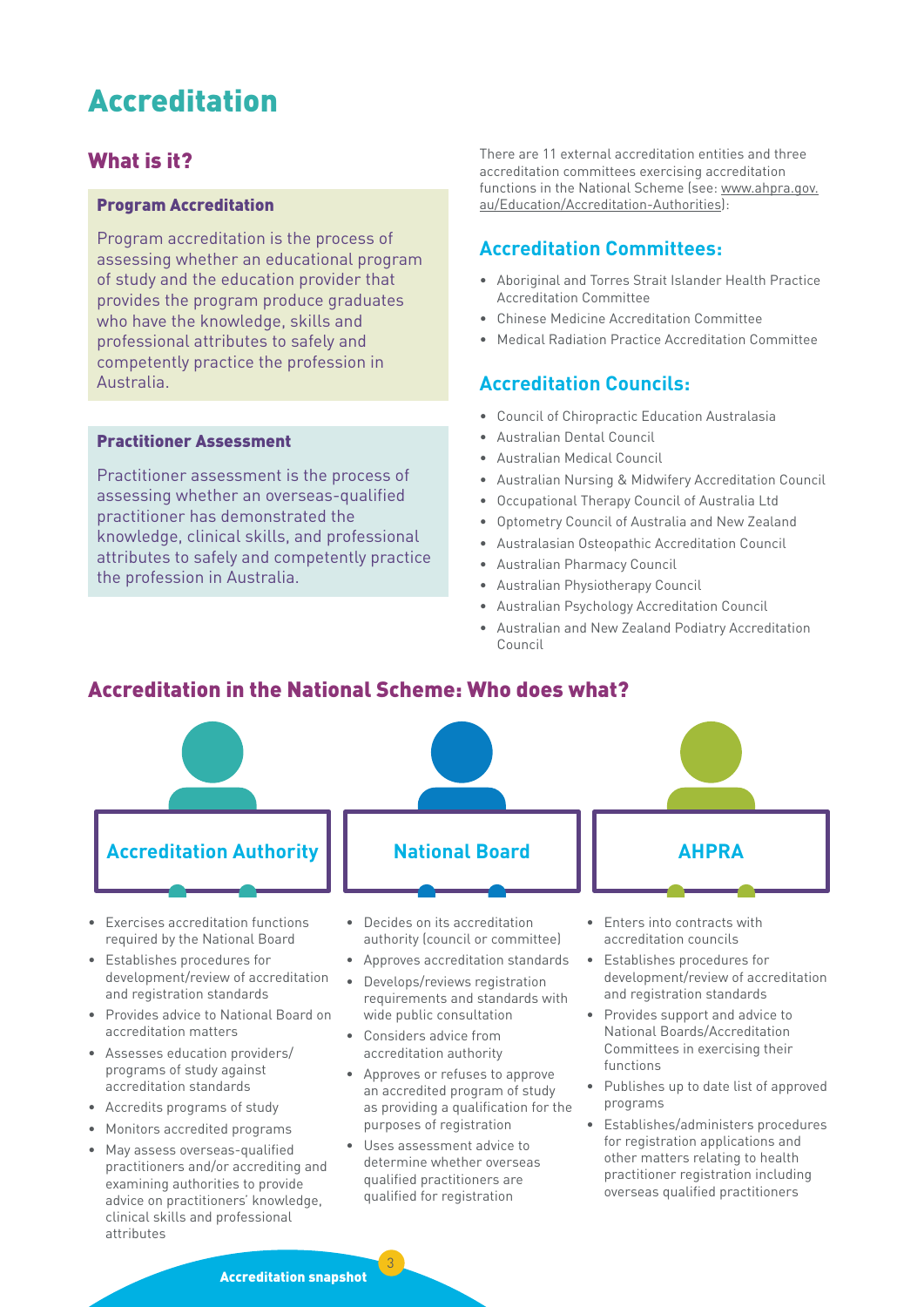# <span id="page-2-0"></span>Accreditation

# What is it?

#### Program Accreditation

Program accreditation is the process of assessing whether an educational program of study and the education provider that provides the program produce graduates who have the knowledge, skills and professional attributes to safely and competently practice the profession in Australia.

#### Practitioner Assessment

Practitioner assessment is the process of assessing whether an overseas-qualified practitioner has demonstrated the knowledge, clinical skills, and professional attributes to safely and competently practice the profession in Australia.

There are 11 external accreditation entities and three accreditation committees exercising accreditation functions in the National Scheme (see: [www.ahpra.gov.](http://www.ahpra.gov.au/Education/Accreditation-Authorities) [au/Education/Accreditation-Authorities\)](http://www.ahpra.gov.au/Education/Accreditation-Authorities):

## **Accreditation Committees:**

- Aboriginal and Torres Strait Islander Health Practice Accreditation Committee
- Chinese Medicine Accreditation Committee
- Medical Radiation Practice Accreditation Committee

#### **Accreditation Councils:**

- Council of Chiropractic Education Australasia
- Australian Dental Council
- Australian Medical Council
- Australian Nursing & Midwifery Accreditation Council
- Occupational Therapy Council of Australia Ltd
- Optometry Council of Australia and New Zealand
- Australasian Osteopathic Accreditation Council
- Australian Pharmacy Council
- Australian Physiotherapy Council
- Australian Psychology Accreditation Council
- Australian and New Zealand Podiatry Accreditation Council

# Accreditation in the National Scheme: Who does what?



- Exercises accreditation functions required by the National Board
- Establishes procedures for development/review of accreditation and registration standards
- Provides advice to National Board on accreditation matters
- Assesses education providers/ programs of study against accreditation standards
- Accredits programs of study
- Monitors accredited programs
- May assess overseas-qualified practitioners and/or accrediting and examining authorities to provide advice on practitioners' knowledge, clinical skills and professional attributes
- Decides on its accreditation authority (council or committee)
- Approves accreditation standards
- Develops/reviews registration requirements and standards with wide public consultation
- Considers advice from accreditation authority
- Approves or refuses to approve an accredited program of study as providing a qualification for the purposes of registration
- Uses assessment advice to determine whether overseas qualified practitioners are qualified for registration

- Enters into contracts with accreditation councils
- Establishes procedures for development/review of accreditation and registration standards
- Provides support and advice to National Boards/Accreditation Committees in exercising their functions
- Publishes up to date list of approved programs
- Establishes/administers procedures for registration applications and other matters relating to health practitioner registration including overseas qualified practitioners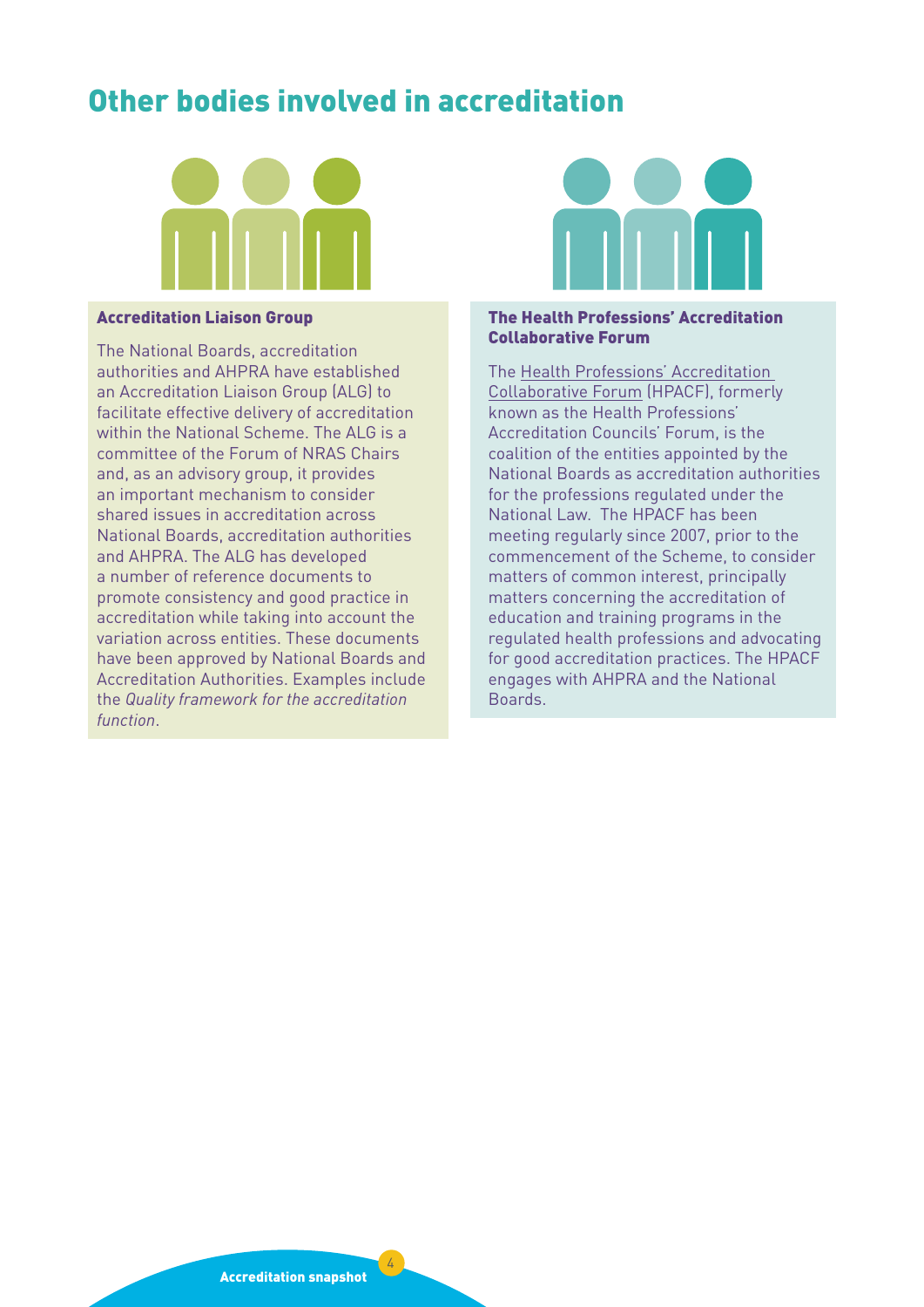# <span id="page-3-0"></span>Other bodies involved in accreditation



#### Accreditation Liaison Group

The National Boards, accreditation authorities and AHPRA have established an Accreditation Liaison Group (ALG) to facilitate effective delivery of accreditation within the National Scheme. The ALG is a committee of the Forum of NRAS Chairs and, as an advisory group, it provides an important mechanism to consider shared issues in accreditation across National Boards, accreditation authorities and AHPRA. The ALG has developed a number of reference documents to promote consistency and good practice in accreditation while taking into account the variation across entities. These documents have been approved by National Boards and Accreditation Authorities. Examples include the *Quality framework for the accreditation function*.



#### The Health Professions' Accreditation Collaborative Forum

The [Health Professions' Accreditation](http://www.hpacf.org.au/)  [Collaborative Forum](http://www.hpacf.org.au/) (HPACF), formerly known as the Health Professions' Accreditation Councils' Forum, is the coalition of the entities appointed by the National Boards as accreditation authorities for the professions regulated under the National Law. The HPACF has been meeting regularly since 2007, prior to the commencement of the Scheme, to consider matters of common interest, principally matters concerning the accreditation of education and training programs in the regulated health professions and advocating for good accreditation practices. The HPACF engages with AHPRA and the National Boards.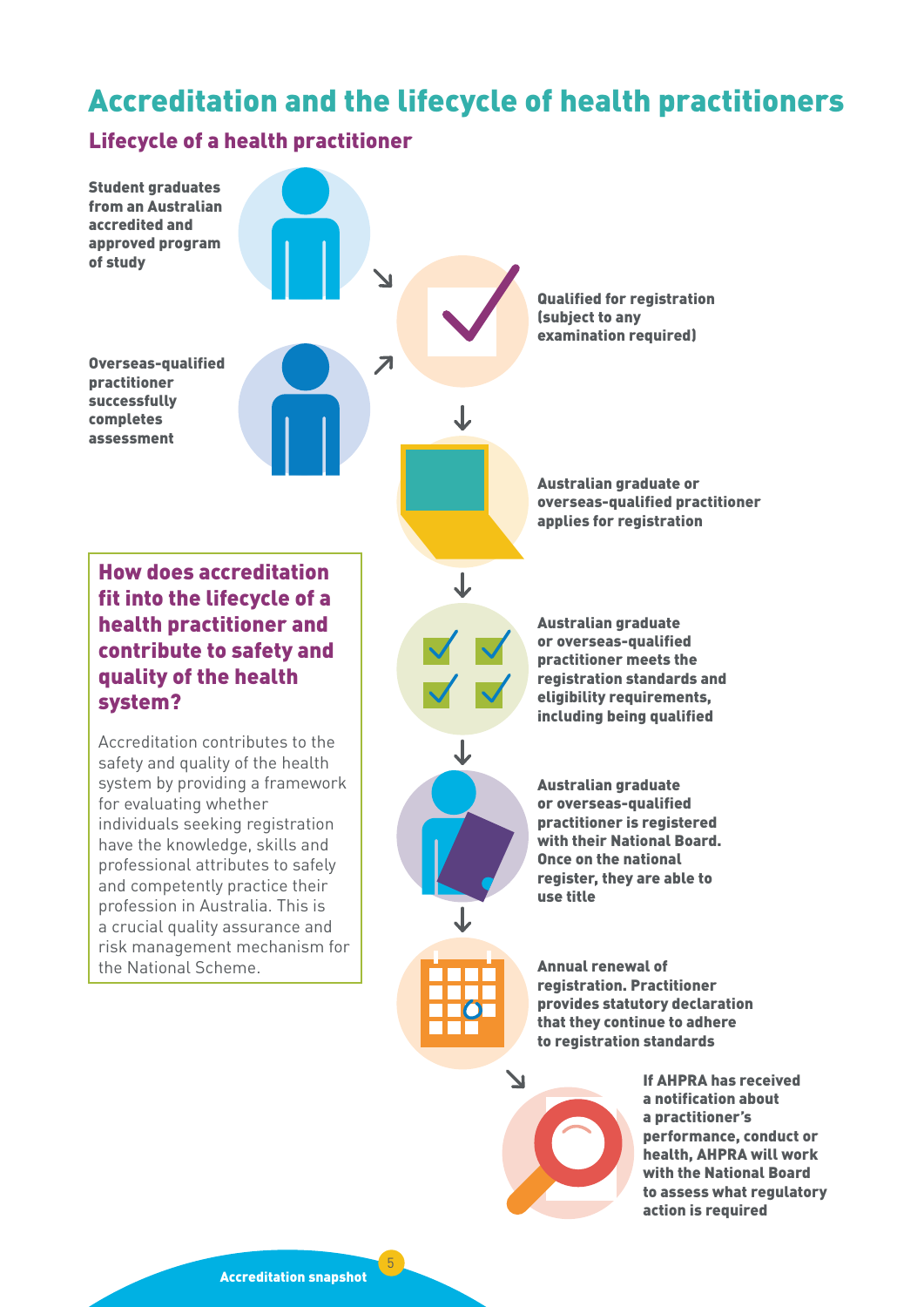# <span id="page-4-0"></span>Accreditation and the lifecycle of health practitioners

# Lifecycle of a health practitioner



a notification about a practitioner's performance, conduct or health, AHPRA will work with the National Board to assess what regulatory action is required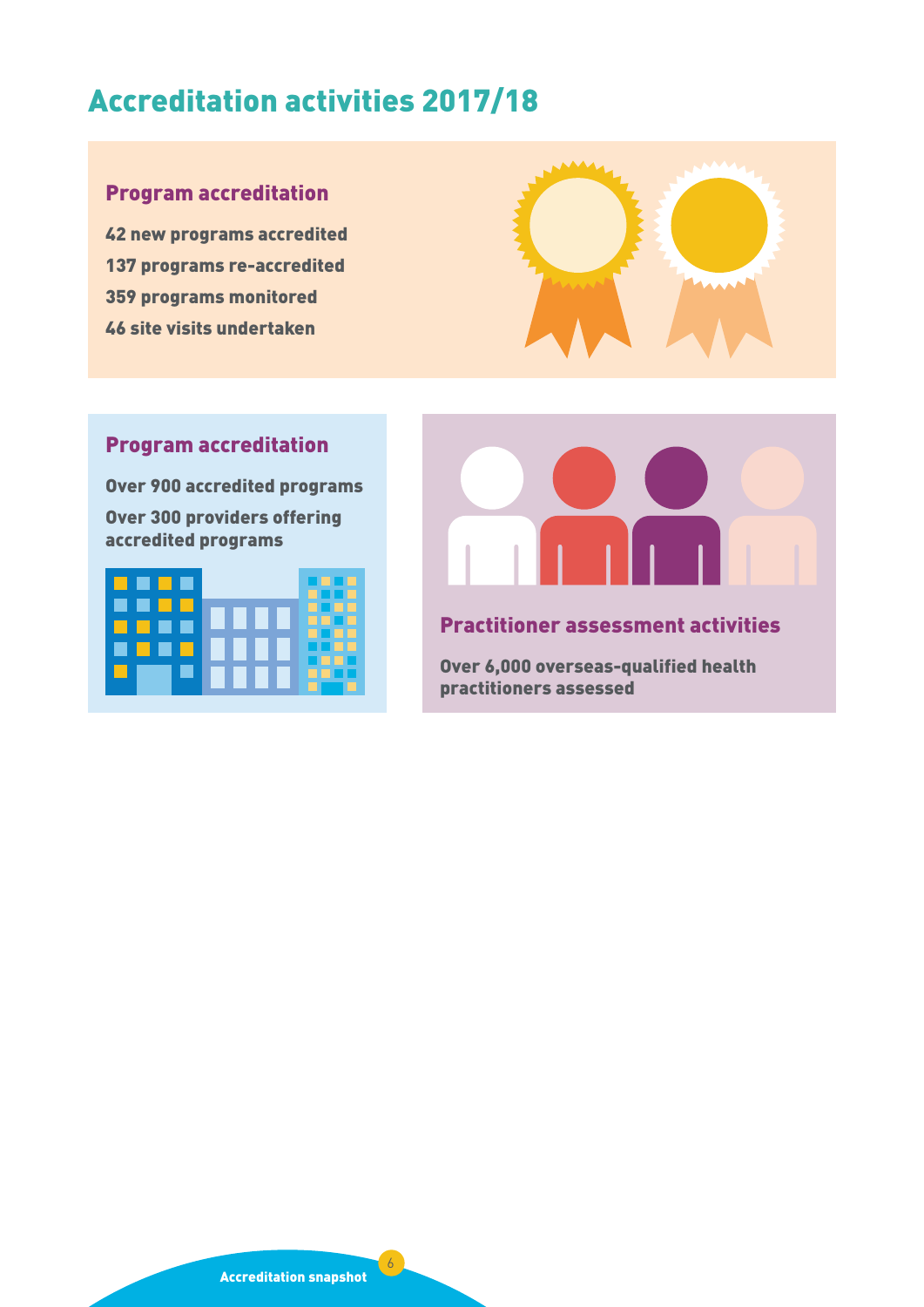# <span id="page-5-0"></span>Accreditation activities 2017/18

# Program accreditation

42 new programs accredited 137 programs re-accredited 359 programs monitored 46 site visits undertaken



# Program accreditation

Over 900 accredited programs Over 300 providers offering accredited programs





# Practitioner assessment activities

Over 6,000 overseas-qualified health practitioners assessed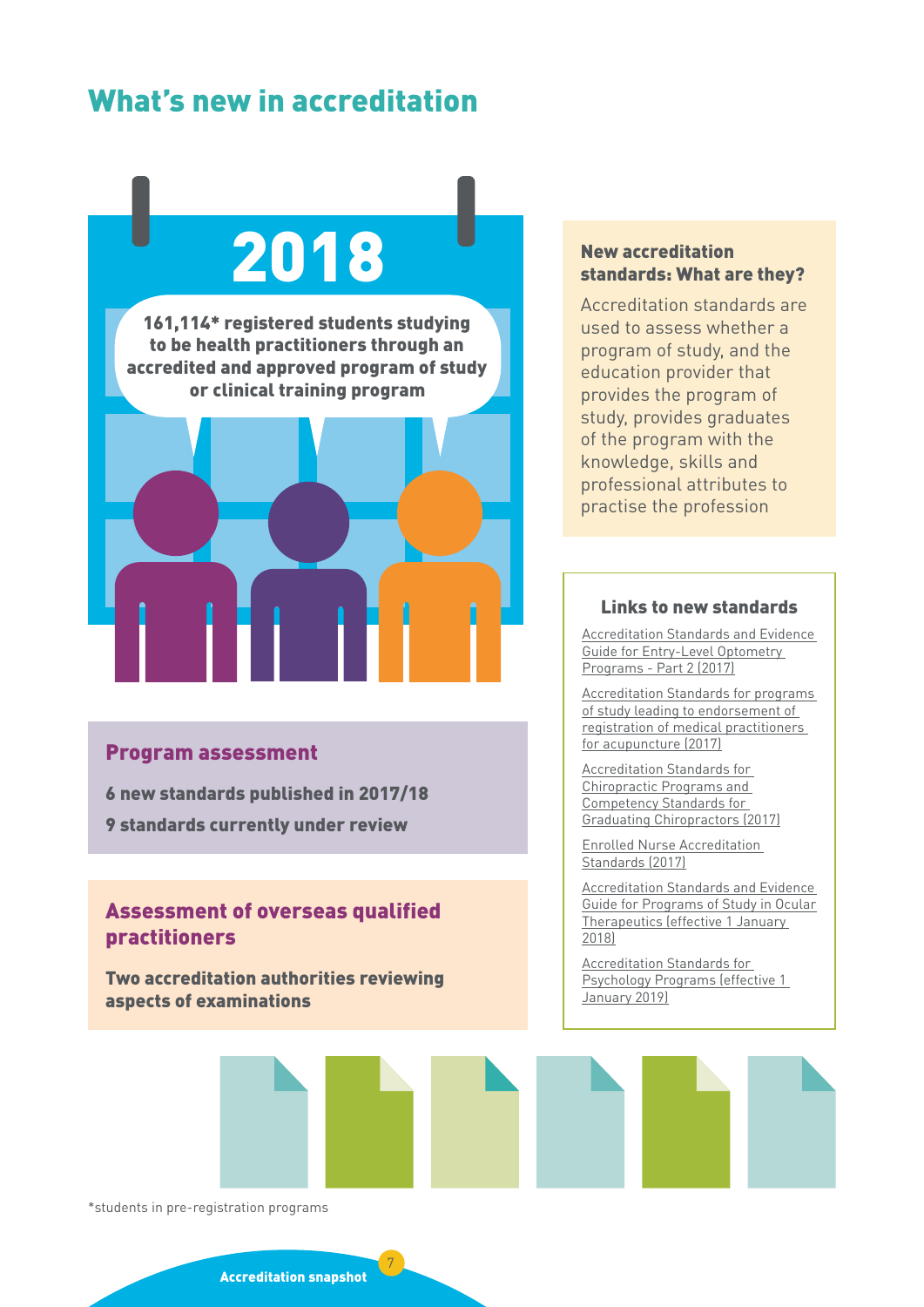# <span id="page-6-0"></span>What's new in accreditation

# 2018

161,114\* registered students studying to be health practitioners through an accredited and approved program of study or clinical training program



#### Program assessment

6 new standards published in 2017/18

9 standards currently under review

# Assessment of overseas qualified practitioners

Two accreditation authorities reviewing aspects of examinations

#### New accreditation standards: What are they?

Accreditation standards are used to assess whether a program of study, and the education provider that provides the program of study, provides graduates of the program with the knowledge, skills and professional attributes to practise the profession

#### Links to new standards

[Accreditation Standards and Evidence](http://www.ocanz.org/assets/Accreditation/99caa12235/PART-2-Accreditation-Standards-and-Evidence-Guide-for-Entry-Level-Optometry-Programs-Effective-1-Jan-2017.pdf)  [Guide for Entry-Level Optometry](http://www.ocanz.org/assets/Accreditation/99caa12235/PART-2-Accreditation-Standards-and-Evidence-Guide-for-Entry-Level-Optometry-Programs-Effective-1-Jan-2017.pdf)  [Programs - Part 2 \(2017\)](http://www.ocanz.org/assets/Accreditation/99caa12235/PART-2-Accreditation-Standards-and-Evidence-Guide-for-Entry-Level-Optometry-Programs-Effective-1-Jan-2017.pdf)

[Accreditation Standards for programs](https://www.medicalboard.gov.au/Accreditation/Approved-programs-of-study-for-acupuncture-endorsement.aspx)  [of study leading to endorsement of](https://www.medicalboard.gov.au/Accreditation/Approved-programs-of-study-for-acupuncture-endorsement.aspx)  [registration of medical practitioners](https://www.medicalboard.gov.au/Accreditation/Approved-programs-of-study-for-acupuncture-endorsement.aspx)  [for acupuncture \(2017\)](https://www.medicalboard.gov.au/Accreditation/Approved-programs-of-study-for-acupuncture-endorsement.aspx)

[Accreditation Standards for](https://www.chiropracticboard.gov.au/documents/default.aspx?record=WD17%2f23450&dbid=AP&chksum=7OWISwKy8O9cGb4IyUaHxQ%3d%3d)  [Chiropractic Programs and](https://www.chiropracticboard.gov.au/documents/default.aspx?record=WD17%2f23450&dbid=AP&chksum=7OWISwKy8O9cGb4IyUaHxQ%3d%3d)  [Competency Standards for](https://www.chiropracticboard.gov.au/documents/default.aspx?record=WD17%2f23450&dbid=AP&chksum=7OWISwKy8O9cGb4IyUaHxQ%3d%3d)  [Graduating Chiropractors \(2017\)](https://www.chiropracticboard.gov.au/documents/default.aspx?record=WD17%2f23450&dbid=AP&chksum=7OWISwKy8O9cGb4IyUaHxQ%3d%3d)

[Enrolled Nurse Accreditation](https://www.anmac.org.au/sites/default/files/documents/ANMAC_EN_Standards_web.pdf)  [Standards \(2017\)](https://www.anmac.org.au/sites/default/files/documents/ANMAC_EN_Standards_web.pdf)

[Accreditation Standards and Evidence](http://www.ocanz.org/assets/Accreditation/2e7cb8b32b/Ocular-Therapeutics-Accreditation-Standards-and-Evidence-Guide-Final-MARCH-2017.pdf)  [Guide for Programs of Study in Ocular](http://www.ocanz.org/assets/Accreditation/2e7cb8b32b/Ocular-Therapeutics-Accreditation-Standards-and-Evidence-Guide-Final-MARCH-2017.pdf) [Therapeutics](http://www.ocanz.org/assets/Accreditation/2e7cb8b32b/Ocular-Therapeutics-Accreditation-Standards-and-Evidence-Guide-Final-MARCH-2017.pdf) [\(effective 1 January](http://www.ocanz.org/assets/Accreditation/99caa12235/PART-2-Accreditation-Standards-and-Evidence-Guide-for-Entry-Level-Optometry-Programs-Effective-1-Jan-2017.pdf)  [2018\)](http://www.ocanz.org/assets/Accreditation/99caa12235/PART-2-Accreditation-Standards-and-Evidence-Guide-for-Entry-Level-Optometry-Programs-Effective-1-Jan-2017.pdf)

[Accreditation Standards for](http://www.psychologycouncil.org.au/sites/default/files/public/APAC_Accreditation_Standards_2018_Jan_Version_for_Online_Publishing_Single.pdf)  [Psychology Programs \(effective 1](http://www.psychologycouncil.org.au/sites/default/files/public/APAC_Accreditation_Standards_2018_Jan_Version_for_Online_Publishing_Single.pdf)  [January 2019\)](http://www.psychologycouncil.org.au/sites/default/files/public/APAC_Accreditation_Standards_2018_Jan_Version_for_Online_Publishing_Single.pdf)



\*students in pre-registration programs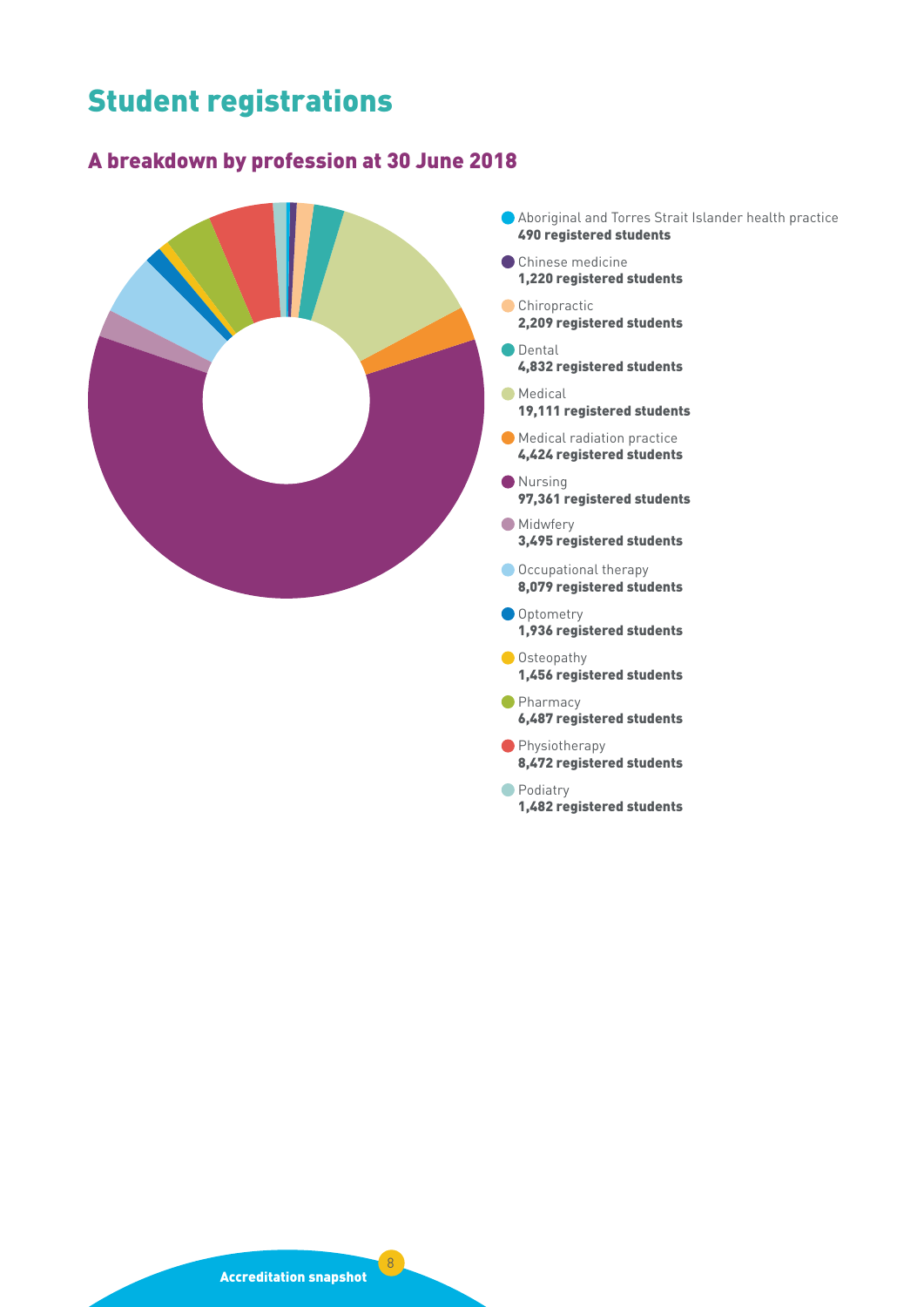# <span id="page-7-0"></span>Student registrations

# A breakdown by profession at 30 June 2018



- Aboriginal and Torres Strait Islander health practice 490 registered students
- Chinese medicine 1,220 registered students
- Chiropractic 2,209 registered students
- **O** Dental 4,832 registered students
- **Medical** 19,111 registered students
- Medical radiation practice 4,424 registered students
- Nursing 97,361 registered students
- **Midwfery** 3,495 registered students
- Occupational therapy 8,079 registered students
- Optometry 1,936 registered students
- **Osteopathy** 1,456 registered students
- **Pharmacy** 6,487 registered students
- **Physiotherapy** 8,472 registered students
- Podiatry 1,482 registered students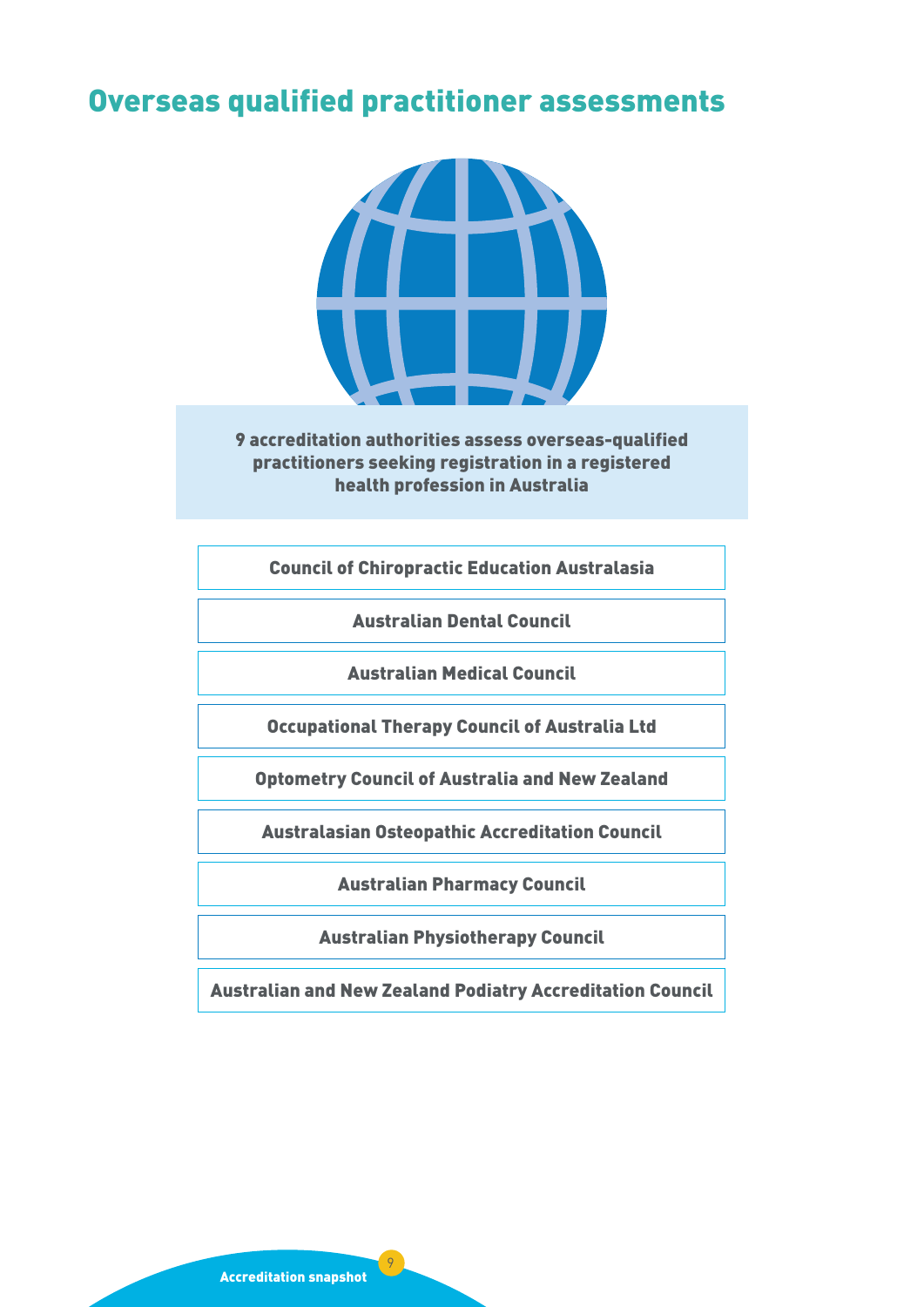# <span id="page-8-0"></span>Overseas qualified practitioner assessments



9 accreditation authorities assess overseas-qualified practitioners seeking registration in a registered health profession in Australia

Council of Chiropractic Education Australasia

Australian Dental Council

Australian Medical Council

Occupational Therapy Council of Australia Ltd

Optometry Council of Australia and New Zealand

Australasian Osteopathic Accreditation Council

Australian Pharmacy Council

Australian Physiotherapy Council

Australian and New Zealand Podiatry Accreditation Council